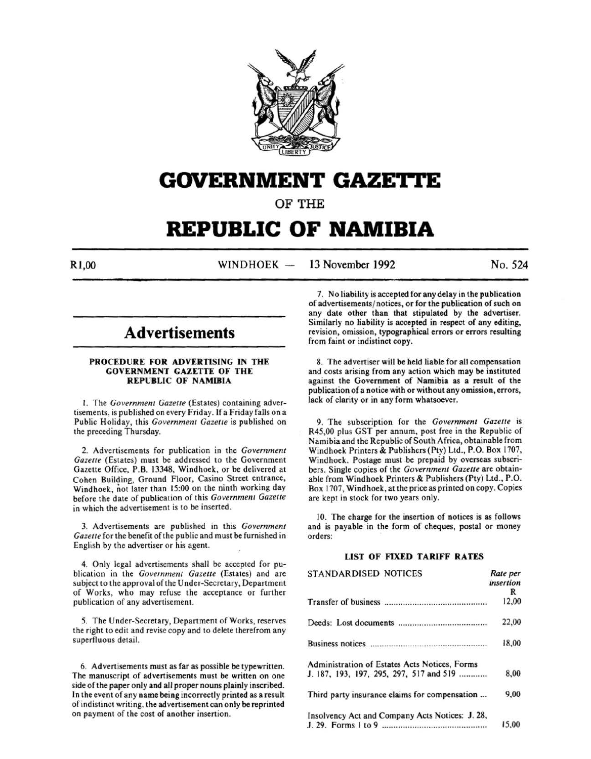

# **GOVERNMENT GAZETTE**

OF THE

# **REPUBLIC OF NAMIBIA**

R<sub>1,00</sub> WINDHOEK --13 November 1992 No. 524

## **Advertisements**

#### PROCEDURE FOR ADVERTISING IN THE GOVERNMENT GAZETTE OF THE REPUBLIC OF NAMIBIA

I. The *Government Gazelle* (Estates) containing advertisements, is published on every Friday. If a Friday falls on a Public Holiday, this *Government Gazette* is published on the preceding Thursday.

2. Advertisements for publication in the *Government Gazette* (Estates) must be addressed to the Government Gazette Office, P.B. 13348, Windhoek, or be delivered at Cohen Building, Ground Floor, Casino Street entrance, Windhoek, not later than 15:00 on the ninth working day before the date of publication of this *Government Gazette*  in which the advertisement is to be inserted.

3. Advertisements are published in this *Government Gazette* for the benefit of the public and must be furnished in English by the advertiser or his agent.

4. Only legal advertisements shall be accepted for publication in the *Government Gazette* (Estates) and are subject to the approval of the Under-Secretary, Department of Works, who may refuse the acceptance or further publication of any advertisement.

5. The Under-Secretary, Department of Works, reserves the right to edit and revise copy and to delete therefrom any superfluous detail.

6. Advertisements must as far as possible be typewritten. The manuscript of advertisements must be written on one side of the paper only and all proper nouns plainly inscribed. In the event of any name being incorrectly printed as a result of indistinct writing. the advertisement can only be reprinted on payment of the cost of another insertion.

7. No liability is accepted for any delay in the publication of advertisements/ notices, or for the publication of such on any date other than that stipulated by the advertiser. Similarly no liability is accepted in respect of any editing, revision, omission, typographical errors or errors resulting from faint or indistinct copy.

8. The advertiser will be held liable for all compensation and costs arising from any action which may be instituted against the Government of Namibia as a result of the publication of a notice with or without any omission, errors, lack of clarity or in any form whatsoever.

9. The subscription for the *Government Gazette* is R45,00 plus GST per annum, post free in the Republic of Namibia and the Republic of South Africa, obtainable from Windhoek Printers & Publishers (Pty) Ltd., P.O. Box 1707, Windhoek. Postage must be prepaid by overseas subscribers. Single copies of the *Government Gazette* are obtainable from Windhoek Printers & Publishers (Pty) Ltd., P.O. Box 1707, Windhoek, at the price as printed on copy. Copies are kept in stock for two years only.

10. The charge for the insertion of notices is as follows and is payable in the form of cheques, postal or money orders:

#### LIST OF FIXED TARIFF RATES

| <b>STANDARDISED NOTICES</b>                     | Rate per<br>insertion<br>R |
|-------------------------------------------------|----------------------------|
|                                                 | 12,00                      |
|                                                 | 22,00                      |
|                                                 | 18,00                      |
| Administration of Estates Acts Notices, Forms   |                            |
| J. 187, 193, 197, 295, 297, 517 and 519         | 8,00                       |
| Third party insurance claims for compensation   | 9,00                       |
| Insolvency Act and Company Acts Notices: J. 28, |                            |
|                                                 | 15,00                      |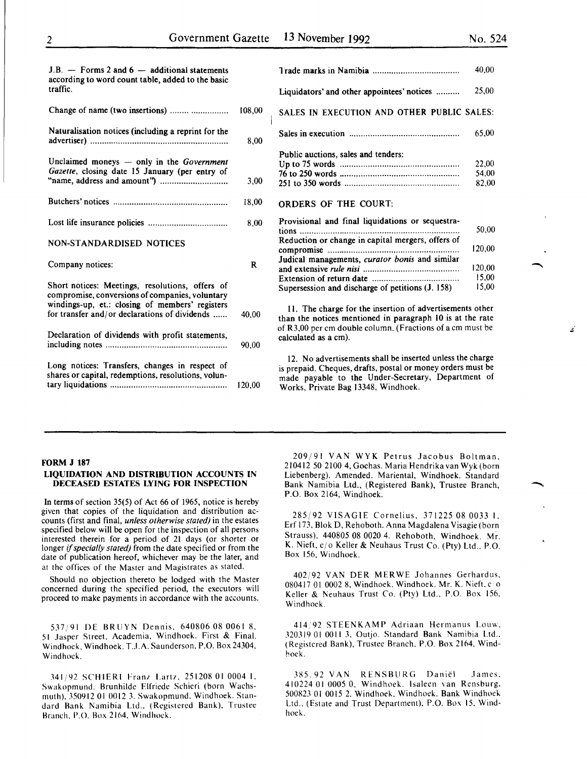| $J.B.$ - Forms 2 and 6 - additional statements<br>according to word count table, added to the basic<br>traffic. |        |
|-----------------------------------------------------------------------------------------------------------------|--------|
| Change of name (two insertions)                                                                                 | 108.00 |
| Naturalisation notices (including a reprint for the                                                             | 8.00   |
| Unclaimed moneys — only in the Government                                                                       |        |

| Gazette, closing date 15 January (per entry of |       |
|------------------------------------------------|-------|
|                                                | 18.00 |

Lost life insurance policies .................................. 8,00

#### NON-STANDARDISED NOTICES

| Company notices: |  |
|------------------|--|
|                  |  |

| Short notices: Meetings, resolutions, offers of<br>compromise, conversions of companies, voluntary<br>windings-up, et.: closing of members' registers<br>for transfer and/or declarations of dividends |        |
|--------------------------------------------------------------------------------------------------------------------------------------------------------------------------------------------------------|--------|
| Declaration of dividends with profit statements,                                                                                                                                                       | 90.00  |
| Long notices: Transfers, changes in respect of<br>shares or capital, redemptions, resolutions, volun-                                                                                                  | 120.00 |

|                                            | 40.00 |
|--------------------------------------------|-------|
| Liquidators' and other appointees' notices | 25.00 |
| SALES IN EXECUTION AND OTHER PUBLIC SALES: |       |
|                                            | 65.00 |
| Public auctions, sales and tenders:        |       |
|                                            | 22.00 |
|                                            | 54.00 |
|                                            | 82.00 |
| ARACRE AE THE CAURT.                       |       |

### ORDERS OF THE COURT:

| Provisional and final liquidations or sequestra-  |        |
|---------------------------------------------------|--------|
|                                                   | 50.00  |
| Reduction or change in capital mergers, offers of |        |
|                                                   | 120.00 |
| Judical managements, curator bonis and similar    |        |
|                                                   | 120,00 |
|                                                   | 15.00  |
| Supersession and discharge of petitions (J. 158)  | 15,00  |

II. The charge for the insertion of advertisements other than the notices mentioned in paragraph 10 is at the rate of R3,00 per em double column. (Fractions of a em must be calculated as a em).

12. No advertisements shall be inserted unless the charge is prepaid. Cheques, drafts, postal or money orders must be made payable to the Under-Secretary, Department of Works, Private Bag 13348, Windhoek.

#### FORM J 187

#### LIQUIDATION AND DISTRIBUTION ACCOUNTS IN DECEASED ESTATES LYING FOR INSPECTION

In terms of section 35(5) of Act 66 of 1965, notice is hereby given that copies of the liquidation and distribution accounts (first and final, *unless otherwise stated)* in the estates specified below will be open for the inspection of all persons interested therein for a period of 21 days (or shorter or longer *if specially stated)* from the date specified or from the date of publication hereof, whichever may be the later, and at the offices of the Master and Magistrates as stated.

Should no objection thereto be lodged with the Master concerned during the specified period, the executors will proceed to make payments in accordance with the accounts.

S1719l DE BRUYN Dennis, 640806 08 0061 8, 51 Jasper Street, Academia, Windhoek. First & Final. Windhoek, Windhoek. T..l.A. Saunderson, P.O. Box 24304, Windhoek.

341/92 SCHIERI Franz Lartz, 251208 01 0004 1, Swakopmund. Brunhilde Flfriede Schieri (born Wachsmuth), 350912 01 0012 3. Swakopmund, Windhoek. Standard Bank Namibia Ltd., (Registered Bank), Trustee Branch, P.O. Box 2164. Windhoek.

209/91 VANWYK Petrus Jacobus Boltman, 210412 SO 2100 4, Gochas. Maria Hendrika van Wyk (born Liebenberg). Amended. Mariental, Windhoek. Standard Bank Namibia Ltd., (Registered Bank), Trustee Branch, P.O. Box 2164, Windhoek.

28S/92 VISAGIE Cornelius, 37122S 08 0033 I. Erf 173, Blok D, Rehoboth. Anna Magdalena Visagie (born Strauss), 44080S 08 0020 4. Rehoboth, Windhoek. Mr. K. Nieft, *cj* o Keller & Neuhaus Trust *Co.* (Pty) Ltd., P.O. Box 156, Windhoek.

402192 VAN DER MERWE Johannes Gerhardus, 080417 01 0002 8, Windhoek. Windhoek. Mr. K. Nieft,  $c \circ$ Keller & Neuhaus Trust *Co.* (Pty) Ltd., P.O. Box IS6, Windhoek.

414 92 STEENKAMP Adriaan Hermanus Louw. 320319 01 0011 3, Outjo. Standard Bank Namibia Ltd., (Registered Bank), Trustee Branch. P.O. Box 2164, Windhoek.

385,92 VAN RENSBURG Daniël James. 410224 01 OOOS 0, Windhoek. lsaleen van Rensburg. S00823 01 OOIS 2. Windhoek. Windhoek. Bank Windhoek Ltd., (Estate and Trust Department). P.O. Box IS. Windhoek.

 $\mathcal{L}$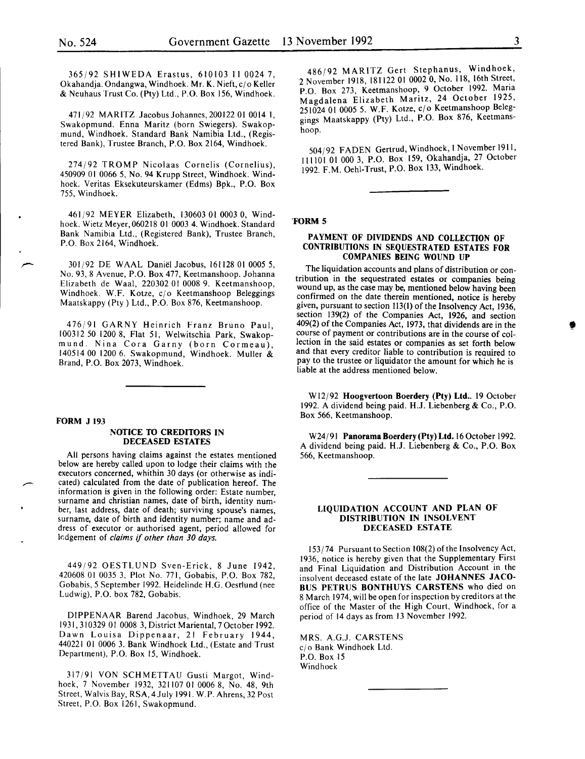365/92 SHIWEDA Erastus, 610103 II 0024 7, Okahandja. Ondangwa, Windhoek. Mr. K. Nieft, c/o Keller & Neuhaus Trust Co. (Pty) Ltd., P.O. Box 156, Windhoek.

471/92 MARITZ JacobusJohannes,20012201 00141, Swakopmund. Enna Maritz (born Swiegers). Swakopmund, Windhoek. Standard Bank Namibia Ltd., (Registered Bank), Trustee Branch, P.O. Box 2164, Windhoek.

274/92 TROMP Nicolaas Cornelis (Cornelius), 450909 01 0066 5, No. 94 Krupp Street, Windhoek. Windhoek. Veritas Eksekuteurskamer (Edms) Bpk., P.O. Box 755, Windhoek.

461/92 MEYER Elizabeth, 130603 01 0003 0, Windhoek. Wietz Meyer,060218 01 0003 4. Windhoek. Standard Bank Namibia Ltd., (Registered Bank), Trustee Branch, P.O. Box 2164, Windhoek.

301/92 DE WAAL Daniël Jacobus, 161128 01 0005 5, No. 93, 8 Avenue, P.O. Box 477, Keetmanshoop. Johanna Elizabeth de Waal, 220302 01 0008 9. Keetmanshoop, Windhoek. W.F. Kotze, c/o Keetmanshoop Beleggings Maatskappy (Pty) Ltd., P.O. Box 876, Keetmanshoop.

476/91 GARNY Heinrich Franz Bruno Paul, 100312 50 1200 8, Flat 51, Welwitschia Park, Swakopmund. Nina Cora Garny (born Cormeau), 140514 00 1200 6. Swakopmund, Windhoek. Muller & Brand, P.O. Box 2073, Windhoek.

#### FORM J 193

#### NOTICE 10 CREDITORS IN DECEASED ESTATES

All persons having claims against the estates mentioned below are hereby called upon to lodge their claims with the executors concerned, whithin 30 days (or otherwise as indicated) calculated from the date of publication hereof. The information is given in the following order: Estate number, surname and christian names, date of birth, identity number, last address, date of death; surviving spouse's names, surname, date of birth and identity number; name and address of executor or authorised agent, period allowed for kdgement of *claims* if *other than 30 days.* 

449/92 OESTLUND Sven-Erick, 8 June 1942, 420608 01 0035 3, Plot No. 771, Gobabis, P.O. Box 782, Gobabis, 5 September 1992. Heidelinde H.G. Oestlund (nee Ludwig), P.O. box 782, Gobabis.

DIPPENAAR Barend Jacobus, Windhoek, 29 March 1931, 310329 01 0008 3, District Mariental, 7 October 1992. Dawn Louisa Dippenaar, 21 February 1944, 440221 01 0006 3. Bank Windhoek Ltd., (Estate and Trust Department), P.O. Box 15, Windhoek.

317/91 VON SCHMETTAU Gusti Margot, Windhoek, 7 November 1932, 321107 01 0006 8, No. 48, 9th Street, Walvis Bay, RSA, 4July 1991. W.P. Ahrens, 32 Post Street, P.O. Box 1261, Swakopmund.

486/92 MARITZ Gert Stephanus, Windhoek, 2 November 1918, 181122 01 0002 0, No. 118, 16th Street, P.O. Box 273, Keetmanshoop, 9 October 1992. Mana Magdalena Elizabeth Maritz, 24 October 1925, 251024 01 0005 5. W.F. Kotze, cjo Keetmanshoop Beleggings Maatskappy (Pty) Ltd., P.O. Box 876, Keetmanshoop.

504/92 FADEN Gertrud, Windhoek, I November 1911, 111101 01 000 3, P.O. Box 159, Okahandja, 27 October 1992. F.M. Oehi-Trust, P.O. Box 133, Windhoek.

#### 'FORM 5

#### PAYMENT OF DIVIDENDS AND COLLECTION OF CONTRIBUTIONS IN SEQUESTRATED ESTATES FOR COMPANIES BEING WOUND UP

The liquidation accounts and plans of distribution or contribution in the sequestrated estates or companies being wound up, as the case may be, mentioned below having been confirmed on the date therein mentioned, notice is hereby given, pursuant to section 113(1) of the Insolvency Act, 1936, section 139(2) of the Companies Act, 1926, and section 409(2) of the Companies Act, 1973, that dividends are in the course of payment or contributions are in the course of collection in the said estates or companies as set forth below and that every creditor liable to contribution is required to pay to the trustee or liquidator the amount for which he is liable at the address mentioned below.

W12/92 Hoogvertoon Boerdery (Pty) Ltd.. 19 October 1992. A dividend being paid. H.J. Liebenberg & Co., P.O. Box 566, Keetmanshoop.

W24/91 Panorama Boerdery (Pty) Ltd. 16 October 1992. A dividend being paid. H.J. Liebenberg & Co., P.O. Box 566, Keetmanshoop.

#### LIQUIDATION ACCOUNT AND PLAN OF DISTRIBUTION IN INSOLVENT DECEASED ESTATE

 $153/74$  Pursuant to Section 108(2) of the Insolvency Act, 1936, notice is hereby given that the Supplementary First and Final Liquidation and Distribution Account in the insolvent deceased estate of the late JOHANNES JACO-BUS PETRUS BONTHUYS CARSTENS who died on 8 March 1974, will be open for inspection by creditors at the office of the Master of the High Court, Windhoek, for a period of 14 days as from 13 November 1992.

MRS. A.G.J. CARSTENS cj o Bank Windhoek Ltd. P.O. Box 15 Windhoek

'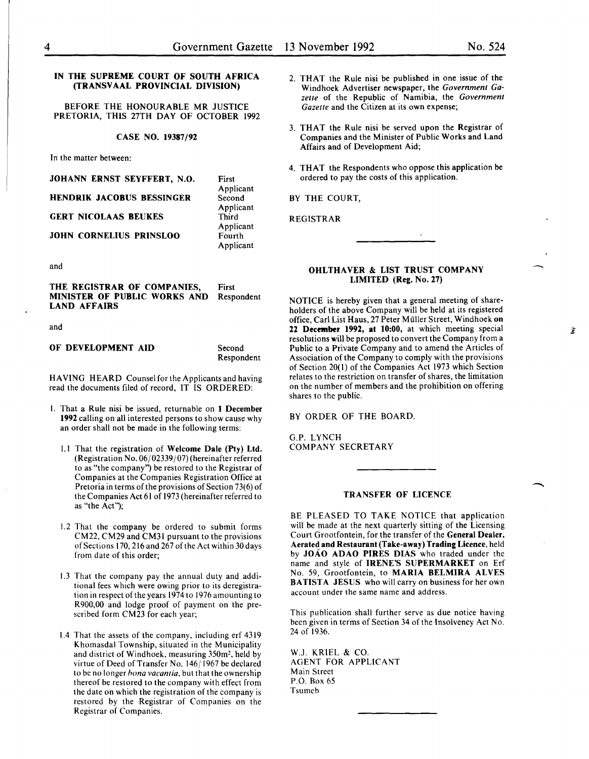#### IN THE SUPREME COURT OF SOUTH AFRICA (TRANSVAAL PROVINCIAL DIVISION)

BEFORE THE HONOURABLE MR JUSTICE PRETORIA, THIS 27TH DAY OF OCTOBER 1992

#### CASE NO. 19387/92

In the matter between:

#### JOHANN ERNST SEYFFERT, N.O.

#### HENDRIK JACOBUS BESSINGER

#### GERT NICOLAAS BEUKES

#### JOHN CORNELIUS PRINSLOO

and

THE REGISTRAR OF COMPANIES, MINISTER OF PUBLIC WORKS AND LAND AFFAIRS First Respondent

and

OF DEVELOPMENT AID

Second Respondent

First Applicant **Second** Applicant Third Applicant Fourth Applicant

HAVING HEARD Counsel for the Applicants and having read the documents filed of record, IT IS ORDERED:

- I. That a Rule nisi be issued, returnable on 1 December 1992 calling on all interested persons to show cause why an order shall not be made in the following terms:
	- 1.1 That the registration of Welcome Dale (Pty) Ltd. (Registration No.  $06/02339/07$ ) (hereinafter referred to as "the company") be restored to the Registrar of Companies at the Companies Registration Office at Pretoria in terms of the provisions of Section 73(6) of the Companies Act 61 of 1973 (hereinafter referred to as "the Act");
	- 1.2 That the company be ordered to submit forms CM22, CM29 and CM31 pursuant to the provisions of Sections 170, 216 and 267 of the Act within 30 days from date of this order;
	- 1.3 That the company pay the annual duty and additional fees which were owing prior to its deregistration in respect of the years 1974 to 1976 amounting to R900,00 and lodge proof of payment on the prescribed form CM23 for each year;
	- 1.4 That the assets of the company, including erf 4319 Khomasdal Township, situated in the Municipality and district of Windhoek, measuring 350m2, held by virtue of Deed of Transfer No. 146/ 1967 be declared to be no longer *hona vacantia,* but that the ownership thereof be restored to the company with effect from the date on which the registration of the company is restored by the Registrar of Companies on the Registrar of Companies.
- 2. THAT the Rule nisi be published in one issue of the Windhoek Advertiser newspaper, the *Government Gazette* of the Republic of Namibia, the *Government Gazette* and the Citizen at its own expense;
- 3. THAT the Rule nisi be served upon the Registrar of Companies and the Minister of Public Works and Land Affairs and of Development Aid;
- 4. THAT the Respondents who oppose this application be ordered to pay the costs of this application.

BY THE COURT,

REGISTRAR

#### OHLTHAVER & LIST TRUST COMPANY LIMITED (Reg. No. 27)

NOTICE is hereby given that a general meeting of shareholders of the above Company will be held at its registered office, Carl List Haus, 27 Peter Muller Street, Windhoek on 22 December 1992, at 10:00, at which meeting special resolutions will be proposed to convert the Company from a Public to a Private Company and to amend the Articles of Association of the Company to comply with the provisions of Section 20( I) of the Companies Act 1973 which Section relates to the restriction on transfer of shares, the limitation on the number of members and the prohibition on offering shares to the public.

BY ORDER OF THE BOARD.

G.P. LYNCH COMPANY SECRETARY

## TRANSFER OF LICENCE

BE PLEASED TO TAKE NOTICE that application will be made at the next quarterly sitting of the Licensing Court Grootfontein, for the transfer of the General Dealer, Aerated and Restaurant (Take-away) Trading Licence, held by JOAO ADAO PIRES DIAS who traded under the name and style of IRENE'S SUPERMARKET on Erf No. 59, Grootfontein, to MARIA BELMIRA ALVES BATISTA JESUS who will carry on business for her own account under the same name and address.

This publication shall further serve as due notice having been given in terms of Section 34 of the Insolvency Act No. 24 of 1936.

W.J. KRIEL & CO. AGENT FOR APPLICANT Main Street P.O. Box 65 Tsumeb

 $\mathcal{L}$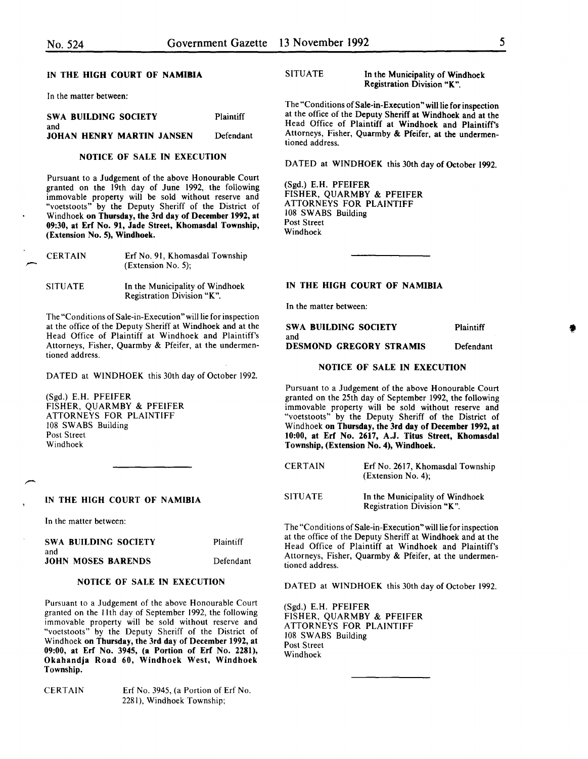#### IN THE HIGH COURT OF NAMIBIA

In the matter between:

SWA BUILDING SOCIETY and JOHAN HENRY MARTIN JANSEN Plaintiff Defendant

#### NOTICE OF SALE IN EXECUTION

Pursuant to a Judgement of the above Honourable Court granted on the 19th day of June 1992, the following immovable property will be sold without reserve and "voetstoots" by the Deputy Sheriff of the District of Windhoek on Thursday, the 3rd day of December 1992, at 09:30, at Erf No. 91, Jade Street, Khomasdal Township, (Extension No. 5), Windhoek.

| <b>CERTAIN</b> | Erf No. 91, Khomasdal Township |
|----------------|--------------------------------|
|                | (Extension No. 5);             |
|                |                                |

SITUATE In the Municipality of Windhoek

Registration Division "K". The "Conditions of Sale-in-Execution" will lie for inspection

at the office of the Deputy Sheriff at Windhoek and at the Head Office of Plaintiff at Windhoek and Plaintiff's Attorneys, Fisher, Quarmby & Pfeifer, at the undermentioned address.

DATED at WINDHOEK this 30th day of October 1992.

(Sgd.) E.H. PFEIFER FISHER, QUARMBY & PFEIFER ATTORNEYS FOR PLAINTIFF 108 SWABS Building Post Street Windhoek

#### IN THE HIGH COURT OF NAMIBIA

In the matter between:

| SWA BUILDING SOCIETY      | Plaintiff |
|---------------------------|-----------|
| and                       |           |
| <b>JOHN MOSES BARENDS</b> | Defendant |

#### NOTICE OF SALE IN EXECUTION

Pursuant to a Judgement of the above Honourable Court granted on the 11th day of September 1992, the following immovable property will be sold without reserve and "voetstoots" by the Deputy Sheriff of the District of Windhoek on Thursday, the 3rd day of December 1992, at 09:00, at Erf No. 3945, (a Portion of Erf No. 2281), Okahandja Road 60, Windhoek West, Windhoek Township.

CERTAIN Erf No. 3945, (a Portion of Erf No. 2281), Windhoek Township;

#### SITUATE In the Municipality of Windhoek Registration Division "K".

The "Conditions of Sale-in-Execution" will lie for inspection at the office of the Deputy Sheriff at Windhoek and at the Head Office of Plaintiff at Windhoek and Plaintiff's Attorneys, Fisher, Quarmby & Pfeifer, at the undermentioned address.

DATED at WINDHOEK this 30th day of October 1992.

(Sgd.) E.H. PFEIFER FISHER, QUARMBY & PFEIFER ATTORNEYS FOR PLAINTIFF 108 SWABS Building Post Street Windhoek

#### IN THE HIGH COURT OF NAMIBIA

In the matter between:

| SWA BUILDING SOCIETY           | Plaintiff |
|--------------------------------|-----------|
| and                            |           |
| <b>DESMOND GREGORY STRAMIS</b> | Defendant |

#### NOTICE OF SALE IN EXECUTION

Pursuant to a Judgement of the above Honourable Court granted on the 25th day of September 1992, the following immovable property will be sold without reserve and "voetstoots" by the Deputy Sheriff of the District of Windhoek on Thursday, the 3rd day of December 1992, at 10:00, at Erf No. 2617, A.J. Titus Street, Khomasdal Township, (Extension No. 4), Windhoek.

| <b>CERTAIN</b> | Erf No. 2617, Khomasdal Township<br>(Extension No. 4):        |
|----------------|---------------------------------------------------------------|
| SITUATE        | In the Municipality of Windhoek<br>Registration Division "K". |

The "Conditions of Sale-in-Execution" will lie for inspection at the office of the Deputy Sheriff at Windhoek and at the Head Office of Plaintiff at Windhoek and Plaintiff's Attorneys, Fisher, Quarmby & Pfeifer, at the undermentioned address.

DATED at WINDHOEK this 30th day of October 1992.

(Sgd.) E.H. PFEIFER FISHER, QUARMBY & PFEIFER ATTORNEYS FOR PLAINTIFF 108 SWABS Building Post Street Windhoek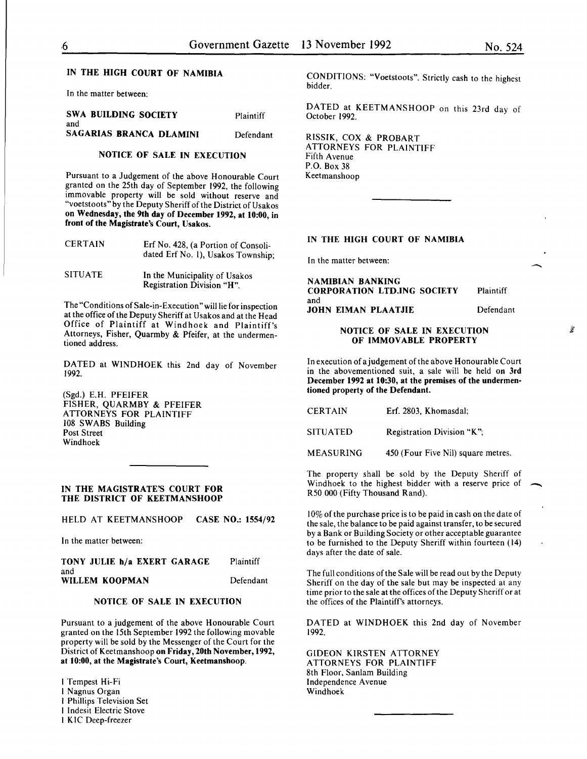$\overline{\phantom{a}}$ 

#### IN THE HIGH COURT OF NAMIBIA

In the matter between:

| <b>SWA BUILDING SOCIETY</b> | Plaintiff |
|-----------------------------|-----------|
| and                         |           |
| SAGARIAS BRANCA DLAMINI     | Defendant |

#### NOTICE OF SALE IN EXECUTION

Pursuant to a Judgement of the above Honourable Court granted on the 25th day of September 1992, the following immovable property will be sold without reserve and "voetstoots" by the Deputy Sheriff of the District of Usakos on Wednesday, the 9th day of December 1992, at 10:00, in front of the Magistrate's Court, Usakos.

| <b>CERTAIN</b> | Erf No. 428, (a Portion of Consoli-<br>dated Erf No. 1), Usakos Township; |  |
|----------------|---------------------------------------------------------------------------|--|
| <b>SITUATE</b> | In the Municipality of Usakos                                             |  |

Registration Division "H".

The "Conditions of Sale-in-Execution" will lie for inspection at the office of the Deputy Sheriff at Usakos and at the Head Office of Plaintiff at Windhoek and Plaintiff's Attorneys, Fisher, Quarmby & Pfeifer, at the undermentioned address.

DATED at WINDHOEK this 2nd day of November 1992.

(Sgd.) E.H. PFEIFER FISHER, QUARMBY & PFEIFER ATTORNEYS FOR PLAINTIFF 108 SWABS Building Post Street Windhoek

#### IN THE MAGISTRATE'S COURT FOR THE DISTRICT OF KEETMANSHOOP

HELD AT KEETMANSHOOP CASE NO.: 1554/92

In the matter between:

| TONY JULIE h/a EXERT GARAGE | Plaintiff |
|-----------------------------|-----------|
| and                         |           |
| WILLEM KOOPMAN              | Defendant |

#### NOTICE OF SALE IN EXECUTION

Pursuant to a judgement of the above Honourable Court granted on the 15th September 1992 the following movable property will be sold by the Messenger of the Court for the District of Keetmanshoop on Friday, 20th November, 1992, at 10:00, at the Magistrate's Court, Keetmanshoop.

I Tempest Hi-Fi I N agnus Organ I Phillips Television Set I lndesit Electric Stove I KIC Deep-freezer

CONDITIONS: "Voetstoots". Strictly cash to the highest bidder.

DATED at KEETMANSHOOP on this 23rd day of October 1992.

RISSlK, COX & PROBART ATTORNEYS FOR PLAINTIFF Fifth A venue P.O. Box 38 Keetmanshoop

#### IN THE HIGH COURT OF NAMIBIA

In the matter between:

NAMIBIAN BANKING CORPORATION LTD.ING SOCIETY and JOHN ElMAN PLAATJIE Plaintiff Defendant

#### NOTICE OF SALE IN EXECUTION OF IMMOVABLE PROPERTY

In execution of a judgement of the above Honourable Court in the abovementioned suit, a sale will be held on 3rd December 1992 at 10:30, at the premises of the undermentioned property of the Defendant.

| <b>CERTAIN</b>   | Erf. 2803, Khomasdal;              |
|------------------|------------------------------------|
| <b>SITUATED</b>  | Registration Division "K";         |
| <b>MEASURING</b> | 450 (Four Five Nil) square metres. |

The property shall be sold by the Deputy Sheriff of Windhoek to the highest bidder with a reserve price of R50 000 (Fifty Thousand Rand).

10% of the purchase price is to be paid in cash on the date of the sale, the balance to be paid against transfer, to be secured by a Bank or Building Society or other acceptable guarantee to be furnished to the Deputy Sheriff within fourteen (14) days after the date of sale.

The full conditions of the Sale will be read out by the Deputy Sheriff on the day of the sale but may be inspected at any time prior to the sale at the offices of the Deputy Sheriff or at the offices of the Plaintiff's attorneys.

DATED at WINDHOEK this 2nd day of November 1992.

GIDEON KIRSTEN ATTORNEY ATTORNEYS FOR PLAINTIFF 8th Floor, Sanlam Building Independence Avenue Windhoek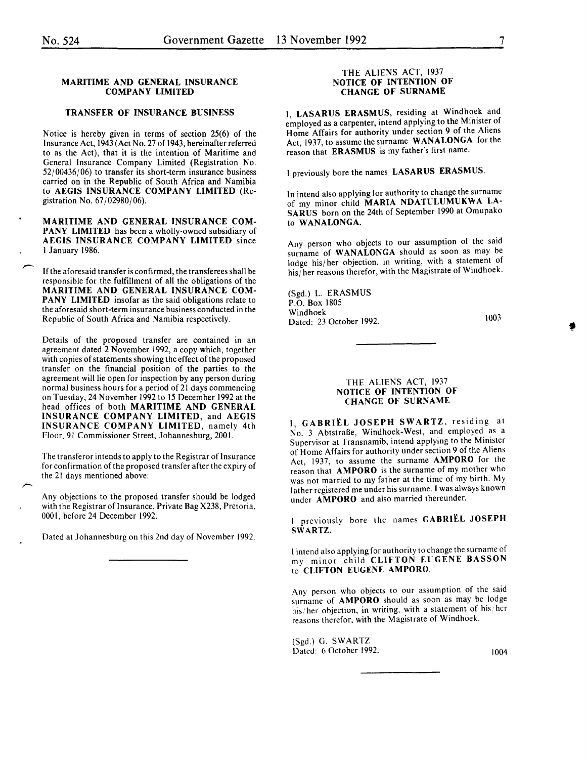#### MARITIME AND GENERAL INSURANCE COMPANY LIMITED

#### TRANSFER OF INSURANCE BUSINESS

Notice is hereby given in terms of section 25(6) of the Insurance Act, 1943 (Act No. 27 of 1943, hereinafter referred to as the Act), that it is the intention of Maritime and General Insurance Company Limited (Registration No. 52/00436/06) to transfer its short-term insurance business carried on in the Republic of South Africa and Namibia to AEGIS INSURANCE COMPANY LIMITED (Registration No. 67/02980/06).

MARITIME AND GENERAL INSURANCE COMpANY LIMITED has been a wholly-owned subsidiary of AEGIS INSURANCE COMPANY LIMITED since I January 1986.

If the aforesaid transfer is confirmed, the transferees shall be responsible for the fulfillment of all the obligations of the MARITIME AND GENERAL INSURANCE COMpANY LIMITED insofar as the said obligations relate to the aforesaid short-term insurance business conducted in the Republic of South Africa and Namibia respectively.

Details of the proposed transfer are contained in an agreement dated 2 November 1992, a copy which, together with copies of statements showing the effect of the proposed transfer on the financial position of the parties to the agreement will lie open for inspection by any person during normal business hours for a period of 21 days commencing on Tuesday, 24 November 1992 to 15 December 1992 at the head offices of both MARITIME AND GENERAL INSURANCE COMPANY LIMITED, and AEGIS INSURANCE COMPANY LIMITED, namely 4th Floor, 91 Commissioner Street, Johannesburg, 2001.

The transferor intends to apply to the Registrar of Insurance for confirmation of the proposed transfer after the expiry of the 21 days mentioned above.

Any objections to the proposed transfer should be lodged with the Registrar of Insurance, Private Bag X238, Pretoria, 0001, before 24 December 1992.

Dated at Johannesburg on this 2nd day of November 1992.

#### THE ALIENS ACT, 1937 NOTICE OF INTENTION OF CHANGE OF SURNAME

I, LASARUS ERASMUS, residing at Windhoek and employed as a carpenter, intend applying to the Minister of Home Affairs for authority under section 9 of the Aliens Act, 1937, to assume the surname WANALONGA for the reason that ERASMUS is my father's first name.

I previously bore the names LASARUS ERASMUS.

In intend also applying for authority to change the surname of my minor child MARIA NDATULUMUKWA LA-SARUS born on the 24th of September 1990 at Omupako to WANALONGA.

Any person who objects to our assumption of the said surname of WANALONGA should as soon as may be lodge his/her objection, in writing, with a statement of his/her reasons therefor, with the Magistrate of Windhoek.

(Sgd.) L. ERASMUS P.O. Box 1805 Windhoek Dated: 23 October 1992.

\003

'

#### THE ALIENS ACT, 1937 NOTICE OF INTENTION OF CHANGE OF SURNAME

I, GABRIËL JOSEPH SWARTZ, residing at No. 3 Abtstraße, Windhoek-West, and employed as a Supervisor at Transnamib, intend applying to the Minister of Home Affairs for authority under section 9 of the Aliens Act, 1937, to assume the surname AMPORO for the reason that AMPORO is the surname of my mother who was not married to my father at the time of my birth. My father registered me under his surname. I was always known under AMPORO and also married thereunder.

I previously bore the names GABRIEL JOSEPH SWARTZ.

I intend also applying for authority to change the surname of my minor child CLIFTON EUGENE BASSON to CLIFTON EUGENE AMPORO.

Any person who objects to our assumption of the said surname of AMPORO should as soon as may be lodge his/ her objection, in writing, with a statement of his/ her reasons therefor, with the Magistrate of Windhoek.

(Sgd.) G. SWARTZ Dated: 6 October 1992. (1004)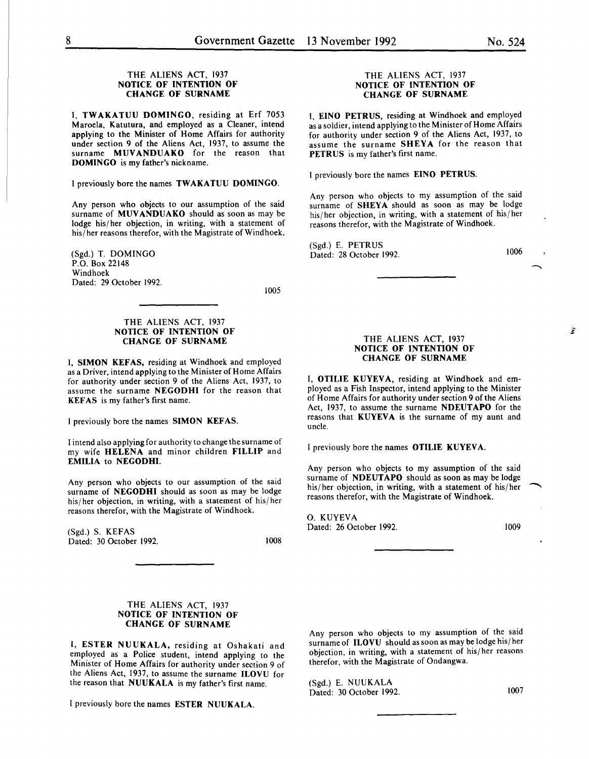#### THE ALIENS ACT, 1937 NOTICE OF INTENTION OF CHANGE OF SURNAME

I, TWAKATUU DOMINGO, residing at Erf 7053 Maroela, Katutura, and employed as a Cleaner, intend applying to the Minister of Home Affairs for authority under section 9 of the Aliens Act, 1937, to assume the surname MUVANDUAKO for the reason that DOMINGO is my father's nickname.

I previously bore the names TWAKATUU DOMINGO.

Any person who objects to our assumption of the said surname of MUVANDUAKO should as soon as may be lodge his/her objection, in writing, with a statement of his/ her reasons therefor, with the Magistrate of Windhoek.

(Sgd.) T. DOMINGO P.O. Box 22148 Windhoek Dated: 29 October 1992.

1005

#### THE ALIENS ACT, 1937 NOTICE OF INTENTION OF CHANGE OF SURNAME

I, SIMON KEFAS, residing at Windhoek and employed as a Driver, intend applying to the Minister of Home Affairs for authority under section 9 of the Aliens Act, I937, to assume the surname NEGODHI for the reason that KEF AS is my father's first name.

I previously bore the names SIMON KEFAS.

I intend also applying for authority to change the surname of my wife HELENA and minor children FILLIP and EMILIA to NEGODHI.

Any person who objects to our assumption of the said surname of NEGODHI should as soon as may be lodge his/her objection, in writing, with a statement of his/her reasons therefor, with the Magistrate of Windhoek.

(Sgd.) S. KEFAS Dated: 30 October 1992.

1008

#### THE ALIENS ACT, 1937 NOTICE OF INTENTION OF CHANGE OF SURNAME

I, EINO PETRUS, residing at Windhoek and employed as a soldier, intend applying to the Minister of Home Affairs for authority under section 9 of the Aliens Act, 1937, to assume the surname SHEYA for the reason that PETRUS is my father's first name.

I previously bore the names EINO PETRUS.

Any person who objects to my assumption of the said surname of SHEYA should as soon as may be lodge his/her objection, in writing, with a statement of his/her reasons therefor, with the Magistrate of Windhoek.

(Sgd.) E. PETRUS Dated: 28 October 1992.

1006

#### THE ALIENS ACT, 1937 NOTICE OF INTENTION OF CHANGE OF SURNAME

I, OTILIE KUYEVA, residing at Windhoek and employed as a Fish Inspector, intend applying to the Minister of Home Affairs for authority under section 9 of the Aliens Act, 1937, to assume the surname NDEUTAPO for the reasons that KUYEVA is the surname of my aunt and uncle.

I previously bore the names OTILIE KUYEVA.

Any person who objects to my assumption of the said surname of NDEUTAPO should as soon as may be lodge his/ her objection, in writing, with a statement of his/ her reasons therefor, with the Magistrate of Windhoek.

0. KUYEVA Dated: 26 October 1992. 1009

#### THE ALIENS ACT, 1937 NOTICE OF INTENTION OF CHANGE OF SURNAME

I, ESTER NUUKALA, residing at Oshakati and employed as a Police student, intend applying to the Minister of Home Affairs for authority under section 9 of the Aliens Act, 1937, to assume the surname ILOVU for the reason that NUUKALA is my father's first name.

I previously bore the names ESTER NUUKALA.

Any person who objects to my assumption of the said surname of ILOVU should as soon as may be lodge his/her objection, in writing, with a statement of his/ her reasons therefor, with the Magistrate of Ondangwa.

(Sgd.) E. NUUKALA Dated: 30 October 1992. 1007

藿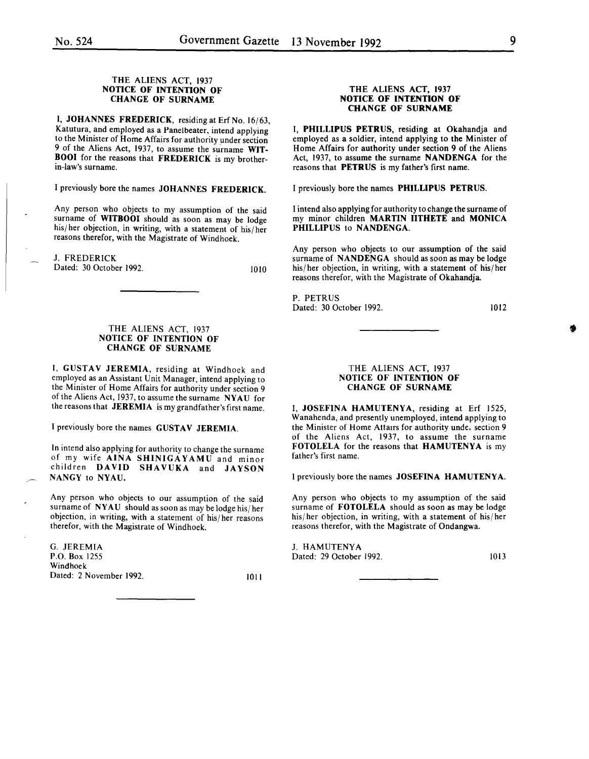#### THE ALIENS ACT, 1937 NOTICE OF INTENTION OF CHANGE OF SURNAME

1. JOHANNES FREDERICK, residing at Erf No. 16/63, Katutura, and employed as a Panelbeater, intend applying to the Minister of Home Affairs for authority under section 9 of the Aliens Act, 1937, to assume the surname WIT-BOOI for the reasons that FREDERICK is my brotherin-law's surname.

I previously bore the names JOHANNES FREDERICK.

Any person who objects to my assumption of the said surname of WITBOOI should as soon as may be lodge his/her objection, in writing, with a statement of his/her reasons therefor, with the Magistrate of Windhoek.

J. FREDERICK

Dated: 30 October 1992.

1010

#### THE ALIENS ACT, 1937 NOTICE OF INTENTION OF CHANGE OF SURNAME

I, GUSTAV JEREMIA, residing at Windhoek and employed as an Assistant Unit Manager, intend applying to the Minister of Home Affairs for authority under section 9 of the Aliens Act, 1937, to assume the surname NY AU for the reasons that JEREMIA is my grandfather's first name.

I previously bore the names GUSTAV JEREMIA.

In intend also applying for authority to change the surname of my wife AINA SHINIGAYAMU and minor children DAVID SHAVUKA and JAYSON NANGY to NYAU.

Any person who objects to our assumption of the said surname of NYAU should as soon as may be lodge his/her objection, in writing, with a statement of his/ her reasons therefor, with the Magistrate of Windhoek.

G. JEREMIA P.O. Box 1255 Windhoek Dated: 2 November 1992. 1011

#### THE ALIENS ACT, 1937 NOTICE OF INTENTION OF CHANGE OF SURNAME

I, PHILLIPUS PETRUS, residing at Okahandja and employed as a soldier, intend applying to the Minister of Home Affairs for authority under section 9 of the Aliens Act, 1937, to assume the surname NANDENGA for the reasons that PETRUS is my father's first name.

I previously bore the names PHILLIPUS PETRUS.

I intend also applying for authority to change the surname of my minor children MARTIN IITHETE and MONICA PHILLIPUS to NANDENGA.

Any person who objects to our assumption of the said surname of NANDENGA should as soon as may be lodge his/her objection, in writing, with a statement of his/her reasons therefor, with the Magistrate of Okahandja.

P. PETRUS Dated: 30 October 1992.

1012

**\*** 

#### THE ALIENS ACT, 1937 NOTICE OF INTENTION OF CHANGE OF SURNAME

I, JOSEFINA HAMUTENYA, residing at Erf 1525, Wanahenda, and presently unemployed, intend applying to the Minister of Home Attaus for authority unde, section 9 of the Aliens Act, 1937, to assume the surname FOTOLELA for the reasons that HAMUTENYA is my father's first name.

I previously bore the names JOSEFINA HAMUTENYA.

Any person who objects to my assumption of the said surname of FOTOLELA should as soon as may be lodge his/ her objection, in writing, with a statement of his/ her reasons therefor, with the Magistrate of Ondangwa.

**J. HAMUTENYA** Dated: 29 October 1992. 1013